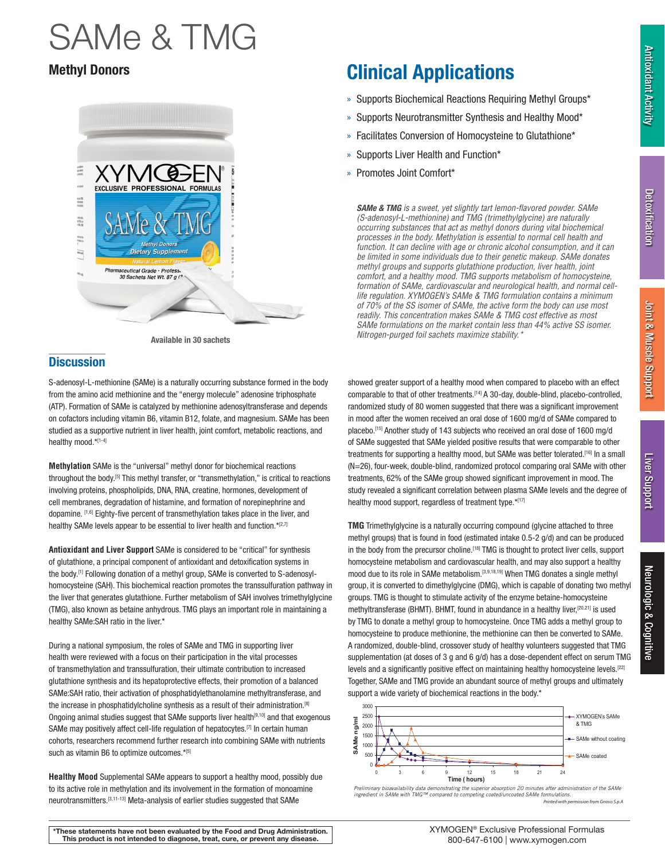### Antioxidant Activity **Antioxidant Activity**

# Neurologic & Cognitive Neurologic & Cognitive

## SAMe & TMG



### **Discussion**

S-adenosyl-L-methionine (SAMe) is a naturally occurring substance formed in the body from the amino acid methionine and the "energy molecule" adenosine triphosphate (ATP). Formation of SAMe is catalyzed by methionine adenosyltransferase and depends on cofactors including vitamin B6, vitamin B12, folate, and magnesium. SAMe has been studied as a supportive nutrient in liver health, joint comfort, metabolic reactions, and healthy mood.\*[1-4]

**Methylation** SAMe is the "universal" methyl donor for biochemical reactions throughout the body.<sup>[5]</sup> This methyl transfer, or "transmethylation," is critical to reactions involving proteins, phospholipids, DNA, RNA, creatine, hormones, development of cell membranes, degradation of histamine, and formation of norepinephrine and dopamine. [1,6] Eighty-five percent of transmethylation takes place in the liver, and healthy SAMe levels appear to be essential to liver health and function.\*[2,7]

**Antioxidant and Liver Support** SAMe is considered to be "critical" for synthesis of glutathione, a principal component of antioxidant and detoxification systems in the body.[1] Following donation of a methyl group, SAMe is converted to S-adenosylhomocysteine (SAH). This biochemical reaction promotes the transsulfuration pathway in the liver that generates glutathione. Further metabolism of SAH involves trimethylglycine (TMG), also known as betaine anhydrous. TMG plays an important role in maintaining a healthy SAMe:SAH ratio in the liver.\*

During a national symposium, the roles of SAMe and TMG in supporting liver health were reviewed with a focus on their participation in the vital processes of transmethylation and transsulfuration, their ultimate contribution to increased glutathione synthesis and its hepatoprotective effects, their promotion of a balanced SAMe:SAH ratio, their activation of phosphatidylethanolamine methyltransferase, and the increase in phosphatidylcholine synthesis as a result of their administration.<sup>[8]</sup> Ongoing animal studies suggest that SAMe supports liver health<sup>[9,10]</sup> and that exogenous SAMe may positively affect cell-life regulation of hepatocytes.<sup>[7]</sup> In certain human cohorts, researchers recommend further research into combining SAMe with nutrients such as vitamin B6 to optimize outcomes.\*[5]

**Healthy Mood** Supplemental SAMe appears to support a healthy mood, possibly due to its active role in methylation and its involvement in the formation of monoamine neurotransmitters.[3,11-13] Meta-analysis of earlier studies suggested that SAMe

### Methyl Donors **Clinical Applications**

- » Supports Biochemical Reactions Requiring Methyl Groups\*
- » Supports Neurotransmitter Synthesis and Healthy Mood\*
- » Facilitates Conversion of Homocysteine to Glutathione\*
- » Supports Liver Health and Function\*
- » Promotes Joint Comfort\*

*SAMe & TMG is a sweet, yet slightly tart lemon-flavored powder. SAMe (S-adenosyl-L-methionine) and TMG (trimethylglycine) are naturally occurring substances that act as methyl donors during vital biochemical processes in the body. Methylation is essential to normal cell health and function. It can decline with age or chronic alcohol consumption, and it can be limited in some individuals due to their genetic makeup. SAMe donates methyl groups and supports glutathione production, liver health, joint comfort, and a healthy mood. TMG supports metabolism of homocysteine, formation of SAMe, cardiovascular and neurological health, and normal celllife regulation. XYMOGEN's SAMe & TMG formulation contains a minimum of 70% of the SS isomer of SAMe, the active form the body can use most readily. This concentration makes SAMe & TMG cost effective as most SAMe formulations on the market contain less than 44% active SS isomer. Nitrogen-purged foil sachets maximize stability.\** Available in 30 sachets

> showed greater support of a healthy mood when compared to placebo with an effect comparable to that of other treatments.<sup>[14]</sup> A 30-day, double-blind, placebo-controlled, randomized study of 80 women suggested that there was a significant improvement in mood after the women received an oral dose of 1600 mg/d of SAMe compared to placebo.[15] Another study of 143 subjects who received an oral dose of 1600 mg/d of SAMe suggested that SAMe yielded positive results that were comparable to other treatments for supporting a healthy mood, but SAMe was better tolerated.<sup>[16]</sup> In a small (N=26), four-week, double-blind, randomized protocol comparing oral SAMe with other treatments, 62% of the SAMe group showed significant improvement in mood. The study revealed a significant correlation between plasma SAMe levels and the degree of healthy mood support, regardless of treatment type.\*[17]

**TMG** Trimethylglycine is a naturally occurring compound (glycine attached to three methyl groups) that is found in food (estimated intake 0.5-2 g/d) and can be produced in the body from the precursor choline.<sup>[18]</sup> TMG is thought to protect liver cells, support homocysteine metabolism and cardiovascular health, and may also support a healthy mood due to its role in SAMe metabolism.<sup>[3,9,18,19]</sup> When TMG donates a single methyl group, it is converted to dimethylglycine (DMG), which is capable of donating two methyl groups. TMG is thought to stimulate activity of the enzyme betaine-homocysteine methyltransferase (BHMT). BHMT, found in abundance in a healthy liver,[20,21] is used by TMG to donate a methyl group to homocysteine. Once TMG adds a methyl group to homocysteine to produce methionine, the methionine can then be converted to SAMe. A randomized, double-blind, crossover study of healthy volunteers suggested that TMG supplementation (at doses of 3 g and 6 g/d) has a dose-dependent effect on serum TMG levels and a significantly positive effect on maintaining healthy homocysteine levels.<sup>[22]</sup> Together, SAMe and TMG provide an abundant source of methyl groups and ultimately support a wide variety of biochemical reactions in the body.\*



*Preliminary bioavailability data demonstrating the superior absorption 20 minutes after administration of the SAMe ingredient in SAMe with TMG™ compared to competing coated/uncoated SAMe formulations. Printed with permission from Gnosis S.p.A*